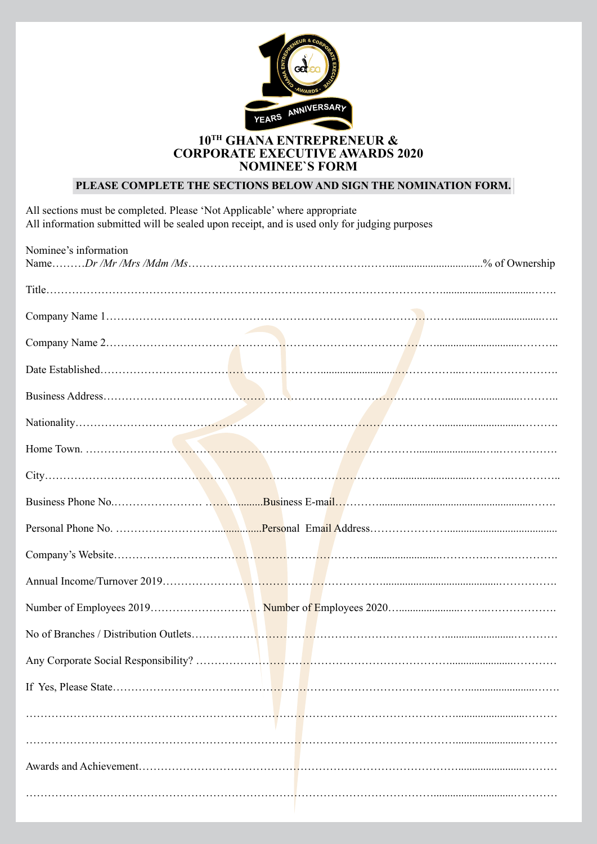

#### **10TH GHANA ENTREPRENEUR & CORPORATE EXECUTIVE AWARDS 2020 NOMINEE`S FORM**

## **PLEASE COMPLETE THE SECTIONS BELOW AND SIGN THE NOMINATION FORM.**

All sections must be completed. Please 'Not Applicable' where appropriate All information submitted will be sealed upon receipt, and is used only for judging purposes

| Nominee's information |  |
|-----------------------|--|
|                       |  |
|                       |  |
|                       |  |
|                       |  |
|                       |  |
|                       |  |
|                       |  |
|                       |  |
|                       |  |
|                       |  |
|                       |  |
|                       |  |
|                       |  |
|                       |  |
|                       |  |
|                       |  |
|                       |  |
|                       |  |
|                       |  |
|                       |  |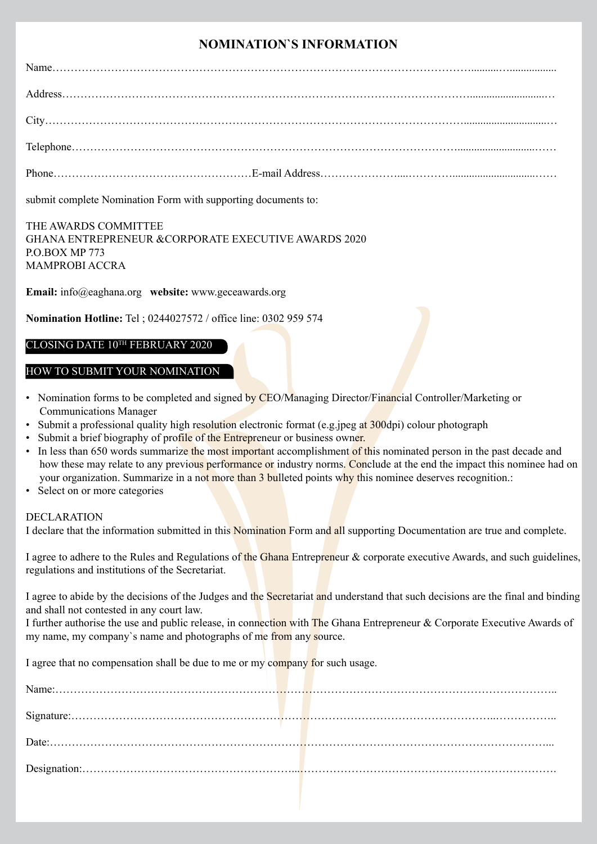# **NOMINATION`S INFORMATION**

submit complete Nomination Form with supporting documents to:

#### THE AWARDS COMMITTEE GHANA ENTREPRENEUR &CORPORATE EXECUTIVE AWARDS 2020 P.O.BOX MP 773 MAMPROBI ACCRA

**Email:** info@eaghana.org **website:** www.geceawards.org

**Nomination Hotline:** Tel ; 0244027572 / office line: 0302 959 574

#### CLOSING DATE 10TH FEBRUARY 2020

#### HOW TO SUBMIT YOUR NOMINATION

- Nomination forms to be completed and signed by CEO/Managing Director/Financial Controller/Marketing or Communications Manager
- Submit a professional quality high resolution electronic format (e.g.jpeg at 300dpi) colour photograph
- Submit a brief biography of profile of the Entrepreneur or business owner.
- In less than 650 words summarize the most important accomplishment of this nominated person in the past decade and how these may relate to any previous performance or industry norms. Conclude at the end the impact this nominee had on your organization. Summarize in a not more than 3 bulleted points why this nominee deserves recognition.:
- Select on or more categories

#### DECLARATION

I declare that the information submitted in this Nomination Form and all supporting Documentation are true and complete.

I agree to adhere to the Rules and Regulations of the Ghana Entrepreneur & corporate executive Awards, and such guidelines, regulations and institutions of the Secretariat.

I agree to abide by the decisions of the Judges and the Secretariat and understand that such decisions are the final and binding and shall not contested in any court law.

I further authorise the use and public release, in connection with The Ghana Entrepreneur & Corporate Executive Awards of my name, my company's name and photographs of me from any source.

I agree that no compensation shall be due to me or my company for such usage.